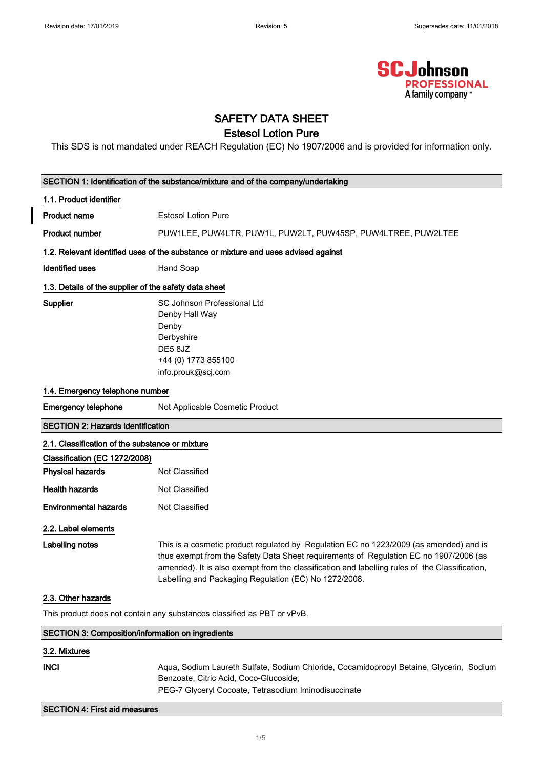

## SAFETY DATA SHEET

## Estesol Lotion Pure

This SDS is not mandated under REACH Regulation (EC) No 1907/2006 and is provided for information only.

| SECTION 1: Identification of the substance/mixture and of the company/undertaking |                                                                                                                                                                                                                                                                                                                                            |  |  |
|-----------------------------------------------------------------------------------|--------------------------------------------------------------------------------------------------------------------------------------------------------------------------------------------------------------------------------------------------------------------------------------------------------------------------------------------|--|--|
| 1.1. Product identifier                                                           |                                                                                                                                                                                                                                                                                                                                            |  |  |
| <b>Product name</b>                                                               | <b>Estesol Lotion Pure</b>                                                                                                                                                                                                                                                                                                                 |  |  |
| <b>Product number</b>                                                             | PUW1LEE, PUW4LTR, PUW1L, PUW2LT, PUW45SP, PUW4LTREE, PUW2LTEE                                                                                                                                                                                                                                                                              |  |  |
|                                                                                   | 1.2. Relevant identified uses of the substance or mixture and uses advised against                                                                                                                                                                                                                                                         |  |  |
| <b>Identified uses</b>                                                            | Hand Soap                                                                                                                                                                                                                                                                                                                                  |  |  |
| 1.3. Details of the supplier of the safety data sheet                             |                                                                                                                                                                                                                                                                                                                                            |  |  |
| Supplier                                                                          | SC Johnson Professional Ltd<br>Denby Hall Way<br>Denby<br>Derbyshire<br>DE58JZ<br>+44 (0) 1773 855100<br>info.prouk@scj.com                                                                                                                                                                                                                |  |  |
|                                                                                   | 1.4. Emergency telephone number                                                                                                                                                                                                                                                                                                            |  |  |
| <b>Emergency telephone</b>                                                        | Not Applicable Cosmetic Product                                                                                                                                                                                                                                                                                                            |  |  |
| <b>SECTION 2: Hazards identification</b>                                          |                                                                                                                                                                                                                                                                                                                                            |  |  |
| 2.1. Classification of the substance or mixture                                   |                                                                                                                                                                                                                                                                                                                                            |  |  |
| Classification (EC 1272/2008)                                                     |                                                                                                                                                                                                                                                                                                                                            |  |  |
| <b>Physical hazards</b>                                                           | Not Classified                                                                                                                                                                                                                                                                                                                             |  |  |
| <b>Health hazards</b>                                                             | <b>Not Classified</b>                                                                                                                                                                                                                                                                                                                      |  |  |
| <b>Environmental hazards</b>                                                      | Not Classified                                                                                                                                                                                                                                                                                                                             |  |  |
| 2.2. Label elements                                                               |                                                                                                                                                                                                                                                                                                                                            |  |  |
| <b>Labelling notes</b>                                                            | This is a cosmetic product regulated by Regulation EC no 1223/2009 (as amended) and is<br>thus exempt from the Safety Data Sheet requirements of Regulation EC no 1907/2006 (as<br>amended). It is also exempt from the classification and labelling rules of the Classification,<br>Labelling and Packaging Regulation (EC) No 1272/2008. |  |  |
| 2.3. Other hazards                                                                |                                                                                                                                                                                                                                                                                                                                            |  |  |
|                                                                                   | This product does not contain any substances classified as PBT or vPvB.                                                                                                                                                                                                                                                                    |  |  |
| SECTION 3: Composition/information on ingredients                                 |                                                                                                                                                                                                                                                                                                                                            |  |  |
| 3.2. Mixtures                                                                     |                                                                                                                                                                                                                                                                                                                                            |  |  |
| <b>INCI</b>                                                                       | Aqua, Sodium Laureth Sulfate, Sodium Chloride, Cocamidopropyl Betaine, Glycerin, Sodium<br>Benzoate, Citric Acid, Coco-Glucoside,<br>PEG-7 Glyceryl Cocoate, Tetrasodium Iminodisuccinate                                                                                                                                                  |  |  |

### SECTION 4: First aid measures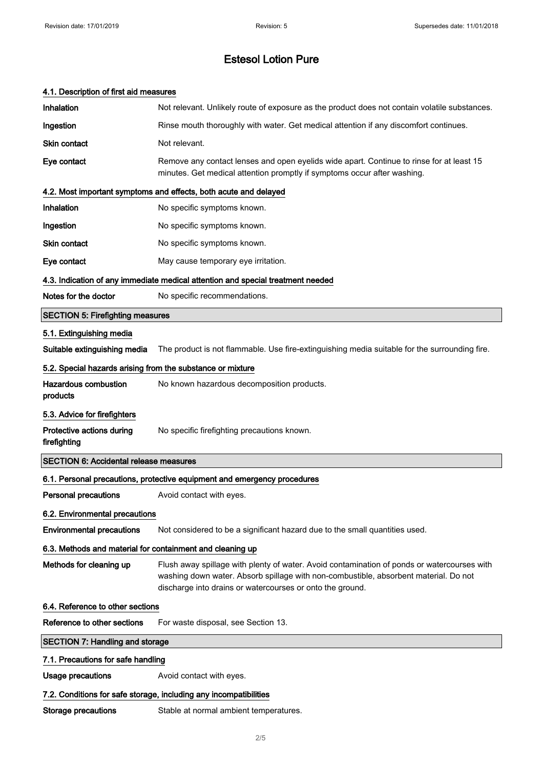| 4.1. Description of first aid measures                     |                                                                                                                                                                                                                                                  |  |  |  |  |
|------------------------------------------------------------|--------------------------------------------------------------------------------------------------------------------------------------------------------------------------------------------------------------------------------------------------|--|--|--|--|
| Inhalation                                                 | Not relevant. Unlikely route of exposure as the product does not contain volatile substances.                                                                                                                                                    |  |  |  |  |
| Ingestion                                                  | Rinse mouth thoroughly with water. Get medical attention if any discomfort continues.                                                                                                                                                            |  |  |  |  |
| <b>Skin contact</b>                                        | Not relevant.                                                                                                                                                                                                                                    |  |  |  |  |
| Eye contact                                                | Remove any contact lenses and open eyelids wide apart. Continue to rinse for at least 15<br>minutes. Get medical attention promptly if symptoms occur after washing.                                                                             |  |  |  |  |
|                                                            | 4.2. Most important symptoms and effects, both acute and delayed                                                                                                                                                                                 |  |  |  |  |
| Inhalation                                                 | No specific symptoms known.                                                                                                                                                                                                                      |  |  |  |  |
| Ingestion                                                  | No specific symptoms known.                                                                                                                                                                                                                      |  |  |  |  |
| <b>Skin contact</b>                                        | No specific symptoms known.                                                                                                                                                                                                                      |  |  |  |  |
| Eye contact                                                | May cause temporary eye irritation.                                                                                                                                                                                                              |  |  |  |  |
|                                                            | 4.3. Indication of any immediate medical attention and special treatment needed                                                                                                                                                                  |  |  |  |  |
| Notes for the doctor                                       | No specific recommendations.                                                                                                                                                                                                                     |  |  |  |  |
| <b>SECTION 5: Firefighting measures</b>                    |                                                                                                                                                                                                                                                  |  |  |  |  |
| 5.1. Extinguishing media                                   |                                                                                                                                                                                                                                                  |  |  |  |  |
| Suitable extinguishing media                               | The product is not flammable. Use fire-extinguishing media suitable for the surrounding fire.                                                                                                                                                    |  |  |  |  |
| 5.2. Special hazards arising from the substance or mixture |                                                                                                                                                                                                                                                  |  |  |  |  |
| <b>Hazardous combustion</b><br>products                    | No known hazardous decomposition products.                                                                                                                                                                                                       |  |  |  |  |
| 5.3. Advice for firefighters                               |                                                                                                                                                                                                                                                  |  |  |  |  |
| Protective actions during<br>firefighting                  | No specific firefighting precautions known.                                                                                                                                                                                                      |  |  |  |  |
| <b>SECTION 6: Accidental release measures</b>              |                                                                                                                                                                                                                                                  |  |  |  |  |
|                                                            | 6.1. Personal precautions, protective equipment and emergency procedures                                                                                                                                                                         |  |  |  |  |
| <b>Personal precautions</b>                                | Avoid contact with eyes.                                                                                                                                                                                                                         |  |  |  |  |
| 6.2. Environmental precautions                             |                                                                                                                                                                                                                                                  |  |  |  |  |
| <b>Environmental precautions</b>                           | Not considered to be a significant hazard due to the small quantities used.                                                                                                                                                                      |  |  |  |  |
| 6.3. Methods and material for containment and cleaning up  |                                                                                                                                                                                                                                                  |  |  |  |  |
| Methods for cleaning up                                    | Flush away spillage with plenty of water. Avoid contamination of ponds or watercourses with<br>washing down water. Absorb spillage with non-combustible, absorbent material. Do not<br>discharge into drains or watercourses or onto the ground. |  |  |  |  |
| 6.4. Reference to other sections                           |                                                                                                                                                                                                                                                  |  |  |  |  |
| Reference to other sections                                | For waste disposal, see Section 13.                                                                                                                                                                                                              |  |  |  |  |
| <b>SECTION 7: Handling and storage</b>                     |                                                                                                                                                                                                                                                  |  |  |  |  |
| 7.1. Precautions for safe handling                         |                                                                                                                                                                                                                                                  |  |  |  |  |
| <b>Usage precautions</b>                                   | Avoid contact with eyes.                                                                                                                                                                                                                         |  |  |  |  |
|                                                            | 7.2. Conditions for safe storage, including any incompatibilities                                                                                                                                                                                |  |  |  |  |
| <b>Storage precautions</b>                                 | Stable at normal ambient temperatures.                                                                                                                                                                                                           |  |  |  |  |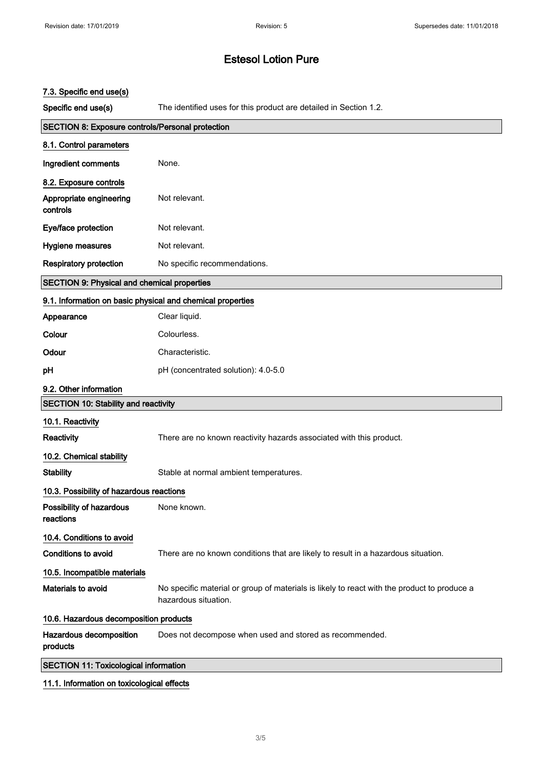### 7.3. Specific end use(s)

Specific end use(s) The identified uses for this product are detailed in Section 1.2.

| <b>SECTION 8: Exposure controls/Personal protection</b>    |                                                                                                                     |  |  |  |  |
|------------------------------------------------------------|---------------------------------------------------------------------------------------------------------------------|--|--|--|--|
| 8.1. Control parameters                                    |                                                                                                                     |  |  |  |  |
| Ingredient comments                                        | None.                                                                                                               |  |  |  |  |
| 8.2. Exposure controls                                     |                                                                                                                     |  |  |  |  |
| Appropriate engineering<br>controls                        | Not relevant.                                                                                                       |  |  |  |  |
| Eye/face protection                                        | Not relevant.                                                                                                       |  |  |  |  |
| Hygiene measures                                           | Not relevant.                                                                                                       |  |  |  |  |
| <b>Respiratory protection</b>                              | No specific recommendations.                                                                                        |  |  |  |  |
| <b>SECTION 9: Physical and chemical properties</b>         |                                                                                                                     |  |  |  |  |
| 9.1. Information on basic physical and chemical properties |                                                                                                                     |  |  |  |  |
| Appearance                                                 | Clear liquid.                                                                                                       |  |  |  |  |
| Colour                                                     | Colourless.                                                                                                         |  |  |  |  |
| Odour                                                      | Characteristic.                                                                                                     |  |  |  |  |
| pH                                                         | pH (concentrated solution): 4.0-5.0                                                                                 |  |  |  |  |
| 9.2. Other information                                     |                                                                                                                     |  |  |  |  |
| <b>SECTION 10: Stability and reactivity</b>                |                                                                                                                     |  |  |  |  |
| 10.1. Reactivity                                           |                                                                                                                     |  |  |  |  |
| Reactivity                                                 | There are no known reactivity hazards associated with this product.                                                 |  |  |  |  |
| 10.2. Chemical stability                                   |                                                                                                                     |  |  |  |  |
| <b>Stability</b>                                           | Stable at normal ambient temperatures.                                                                              |  |  |  |  |
| 10.3. Possibility of hazardous reactions                   |                                                                                                                     |  |  |  |  |
| Possibility of hazardous<br>reactions                      | None known.                                                                                                         |  |  |  |  |
| 10.4. Conditions to avoid                                  |                                                                                                                     |  |  |  |  |
| <b>Conditions to avoid</b>                                 | There are no known conditions that are likely to result in a hazardous situation.                                   |  |  |  |  |
| 10.5. Incompatible materials                               |                                                                                                                     |  |  |  |  |
| Materials to avoid                                         | No specific material or group of materials is likely to react with the product to produce a<br>hazardous situation. |  |  |  |  |
| 10.6. Hazardous decomposition products                     |                                                                                                                     |  |  |  |  |
| Hazardous decomposition<br>products                        | Does not decompose when used and stored as recommended.                                                             |  |  |  |  |
| <b>SECTION 11: Toxicological information</b>               |                                                                                                                     |  |  |  |  |

### 11.1. Information on toxicological effects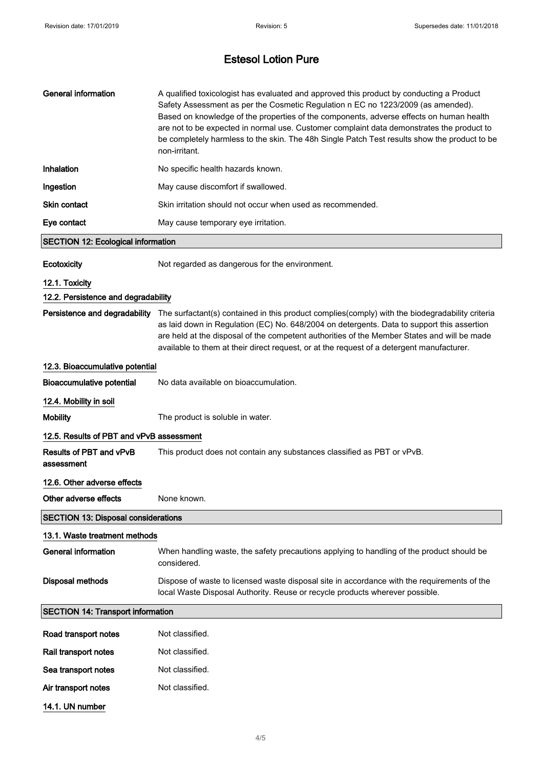| <b>General information</b>                 | A qualified toxicologist has evaluated and approved this product by conducting a Product<br>Safety Assessment as per the Cosmetic Regulation n EC no 1223/2009 (as amended).<br>Based on knowledge of the properties of the components, adverse effects on human health<br>are not to be expected in normal use. Customer complaint data demonstrates the product to<br>be completely harmless to the skin. The 48h Single Patch Test results show the product to be<br>non-irritant. |  |  |  |
|--------------------------------------------|---------------------------------------------------------------------------------------------------------------------------------------------------------------------------------------------------------------------------------------------------------------------------------------------------------------------------------------------------------------------------------------------------------------------------------------------------------------------------------------|--|--|--|
| Inhalation                                 | No specific health hazards known.                                                                                                                                                                                                                                                                                                                                                                                                                                                     |  |  |  |
| Ingestion                                  | May cause discomfort if swallowed.                                                                                                                                                                                                                                                                                                                                                                                                                                                    |  |  |  |
| <b>Skin contact</b>                        | Skin irritation should not occur when used as recommended.                                                                                                                                                                                                                                                                                                                                                                                                                            |  |  |  |
| Eye contact                                | May cause temporary eye irritation.                                                                                                                                                                                                                                                                                                                                                                                                                                                   |  |  |  |
| <b>SECTION 12: Ecological information</b>  |                                                                                                                                                                                                                                                                                                                                                                                                                                                                                       |  |  |  |
| Ecotoxicity                                | Not regarded as dangerous for the environment.                                                                                                                                                                                                                                                                                                                                                                                                                                        |  |  |  |
| 12.1. Toxicity                             |                                                                                                                                                                                                                                                                                                                                                                                                                                                                                       |  |  |  |
| 12.2. Persistence and degradability        |                                                                                                                                                                                                                                                                                                                                                                                                                                                                                       |  |  |  |
|                                            | Persistence and degradability The surfactant(s) contained in this product complies(comply) with the biodegradability criteria<br>as laid down in Regulation (EC) No. 648/2004 on detergents. Data to support this assertion<br>are held at the disposal of the competent authorities of the Member States and will be made<br>available to them at their direct request, or at the request of a detergent manufacturer.                                                               |  |  |  |
| 12.3. Bioaccumulative potential            |                                                                                                                                                                                                                                                                                                                                                                                                                                                                                       |  |  |  |
| <b>Bioaccumulative potential</b>           | No data available on bioaccumulation.                                                                                                                                                                                                                                                                                                                                                                                                                                                 |  |  |  |
| 12.4. Mobility in soil                     |                                                                                                                                                                                                                                                                                                                                                                                                                                                                                       |  |  |  |
| <b>Mobility</b>                            | The product is soluble in water.                                                                                                                                                                                                                                                                                                                                                                                                                                                      |  |  |  |
| 12.5. Results of PBT and vPvB assessment   |                                                                                                                                                                                                                                                                                                                                                                                                                                                                                       |  |  |  |
| Results of PBT and vPvB<br>assessment      | This product does not contain any substances classified as PBT or vPvB.                                                                                                                                                                                                                                                                                                                                                                                                               |  |  |  |
| 12.6. Other adverse effects                |                                                                                                                                                                                                                                                                                                                                                                                                                                                                                       |  |  |  |
| Other adverse effects                      | None known.                                                                                                                                                                                                                                                                                                                                                                                                                                                                           |  |  |  |
| <b>SECTION 13: Disposal considerations</b> |                                                                                                                                                                                                                                                                                                                                                                                                                                                                                       |  |  |  |
| 13.1. Waste treatment methods              |                                                                                                                                                                                                                                                                                                                                                                                                                                                                                       |  |  |  |
| <b>General information</b>                 | When handling waste, the safety precautions applying to handling of the product should be<br>considered.                                                                                                                                                                                                                                                                                                                                                                              |  |  |  |
| <b>Disposal methods</b>                    | Dispose of waste to licensed waste disposal site in accordance with the requirements of the<br>local Waste Disposal Authority. Reuse or recycle products wherever possible.                                                                                                                                                                                                                                                                                                           |  |  |  |
| <b>SECTION 14: Transport information</b>   |                                                                                                                                                                                                                                                                                                                                                                                                                                                                                       |  |  |  |
| Road transport notes                       | Not classified.                                                                                                                                                                                                                                                                                                                                                                                                                                                                       |  |  |  |
| Rail transport notes                       | Not classified.                                                                                                                                                                                                                                                                                                                                                                                                                                                                       |  |  |  |
| Sea transport notes                        | Not classified.                                                                                                                                                                                                                                                                                                                                                                                                                                                                       |  |  |  |
| Air transport notes                        | Not classified.                                                                                                                                                                                                                                                                                                                                                                                                                                                                       |  |  |  |
| 14.1. UN number                            |                                                                                                                                                                                                                                                                                                                                                                                                                                                                                       |  |  |  |